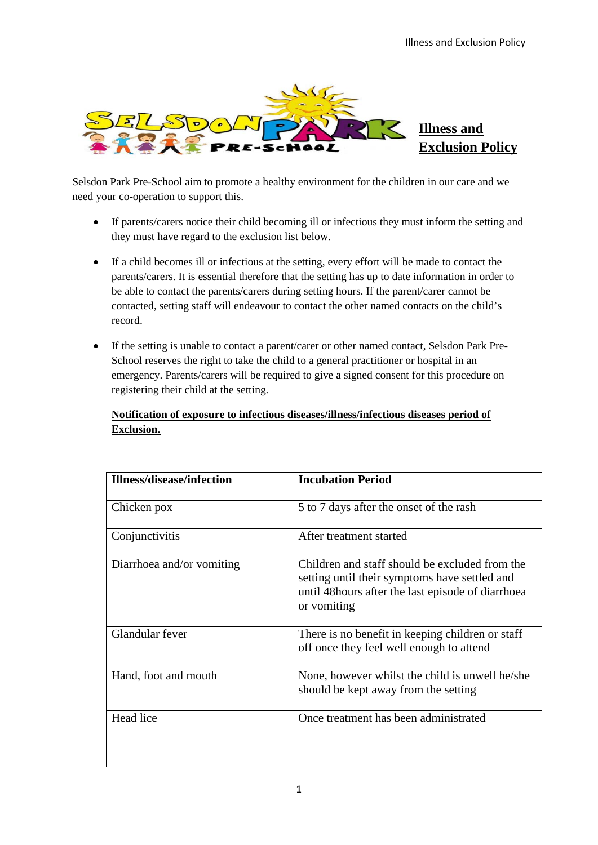

Selsdon Park Pre-School aim to promote a healthy environment for the children in our care and we need your co-operation to support this.

- If parents/carers notice their child becoming ill or infectious they must inform the setting and they must have regard to the exclusion list below.
- If a child becomes ill or infectious at the setting, every effort will be made to contact the parents/carers. It is essential therefore that the setting has up to date information in order to be able to contact the parents/carers during setting hours. If the parent/carer cannot be contacted, setting staff will endeavour to contact the other named contacts on the child's record.
- If the setting is unable to contact a parent/carer or other named contact, Selsdon Park Pre-School reserves the right to take the child to a general practitioner or hospital in an emergency. Parents/carers will be required to give a signed consent for this procedure on registering their child at the setting.

## **Notification of exposure to infectious diseases/illness/infectious diseases period of Exclusion.**

| Illness/disease/infection | <b>Incubation Period</b>                                                                                                                                             |
|---------------------------|----------------------------------------------------------------------------------------------------------------------------------------------------------------------|
| Chicken pox               | 5 to 7 days after the onset of the rash                                                                                                                              |
| Conjunctivitis            | After treatment started                                                                                                                                              |
| Diarrhoea and/or vomiting | Children and staff should be excluded from the<br>setting until their symptoms have settled and<br>until 48 hours after the last episode of diarrhoea<br>or vomiting |
| Glandular fever           | There is no benefit in keeping children or staff<br>off once they feel well enough to attend                                                                         |
| Hand, foot and mouth      | None, however whilst the child is unwell he/she<br>should be kept away from the setting                                                                              |
| Head lice                 | Once treatment has been administrated                                                                                                                                |
|                           |                                                                                                                                                                      |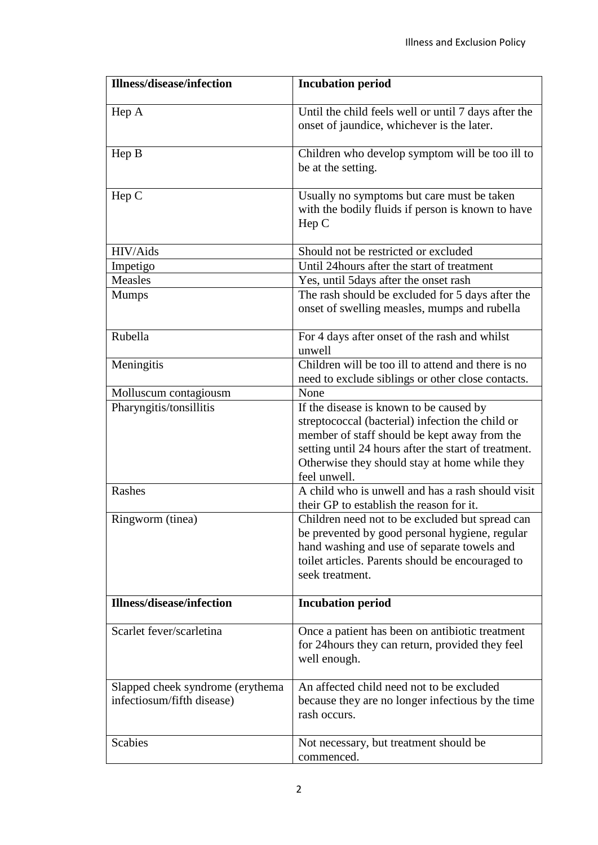| <b>Illness/disease/infection</b>                               | <b>Incubation period</b>                                                                                                                                                                                                                                             |
|----------------------------------------------------------------|----------------------------------------------------------------------------------------------------------------------------------------------------------------------------------------------------------------------------------------------------------------------|
| Hep A                                                          | Until the child feels well or until 7 days after the<br>onset of jaundice, whichever is the later.                                                                                                                                                                   |
| Hep B                                                          | Children who develop symptom will be too ill to<br>be at the setting.                                                                                                                                                                                                |
| Hep C                                                          | Usually no symptoms but care must be taken<br>with the bodily fluids if person is known to have<br>Hep C                                                                                                                                                             |
| HIV/Aids                                                       | Should not be restricted or excluded                                                                                                                                                                                                                                 |
| Impetigo                                                       | Until 24 hours after the start of treatment                                                                                                                                                                                                                          |
| <b>Measles</b>                                                 | Yes, until 5days after the onset rash                                                                                                                                                                                                                                |
| <b>Mumps</b>                                                   | The rash should be excluded for 5 days after the<br>onset of swelling measles, mumps and rubella                                                                                                                                                                     |
| Rubella                                                        | For 4 days after onset of the rash and whilst<br>unwell                                                                                                                                                                                                              |
| Meningitis                                                     | Children will be too ill to attend and there is no<br>need to exclude siblings or other close contacts.                                                                                                                                                              |
| Molluscum contagiousm                                          | None                                                                                                                                                                                                                                                                 |
| Pharyngitis/tonsillitis                                        | If the disease is known to be caused by<br>streptococcal (bacterial) infection the child or<br>member of staff should be kept away from the<br>setting until 24 hours after the start of treatment.<br>Otherwise they should stay at home while they<br>feel unwell. |
| Rashes                                                         | A child who is unwell and has a rash should visit<br>their GP to establish the reason for it.                                                                                                                                                                        |
| Ringworm (tinea)                                               | Children need not to be excluded but spread can<br>be prevented by good personal hygiene, regular<br>hand washing and use of separate towels and<br>toilet articles. Parents should be encouraged to<br>seek treatment.                                              |
| <b>Illness/disease/infection</b>                               | <b>Incubation period</b>                                                                                                                                                                                                                                             |
| Scarlet fever/scarletina                                       | Once a patient has been on antibiotic treatment<br>for 24 hours they can return, provided they feel<br>well enough.                                                                                                                                                  |
| Slapped cheek syndrome (erythema<br>infectiosum/fifth disease) | An affected child need not to be excluded<br>because they are no longer infectious by the time<br>rash occurs.                                                                                                                                                       |
| <b>Scabies</b>                                                 | Not necessary, but treatment should be<br>commenced.                                                                                                                                                                                                                 |